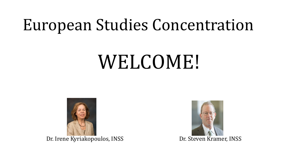## European Studies Concentration

# WELCOME!



Dr. Irene Kyriakopoulos, INSS Dr. Steven Kramer, INSS

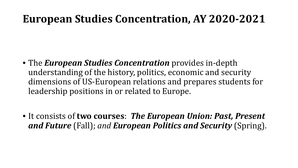### **European Studies Concentration, AY 2020-2021**

- The *European Studies Concentration* provides in-depth understanding of the history, politics, economic and security dimensions of US-European relations and prepares students for leadership positions in or related to Europe.
- It consists of **two courses**: *The European Union: Past, Present and Future* (Fall); *and European Politics and Security* (Spring).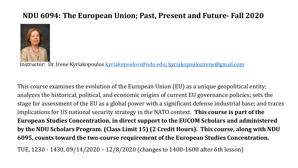#### **NDU 6094: The European Union; Past, Present and Future- Fall 2020**



Instructor: Dr. Irene Kyriakopoulos [kyriakopoulosi@ndu.edu](mailto:kyriakopoulosi@ndu.edu); [kyriakopoulosirene@gmail.com](mailto:kyriakopoulosirene@gmail.com)

This course examines the evolution of the European Union (EU) as a unique geopolitical entity; analyzes the historical, political, and economic origins of current EU governance policies; sets the stage for assessment of the EU as a global power with a significant defense industrial base; and traces implications for US national security strategy in the NATO context. **This course is part of the European Studies Concentration, in direct support to the EUCOM Scholars and administered by the NDU Scholars Program. (Class Limit 15) (2 Credit Hours). This course, along with NDU 6095, counts toward the two-course requirement of the European Studies Concentration.**

TUE, 1230 - 1430, 09/14/2020 – 12/8/2020 (changes to 1400-1600 after 6th lesson)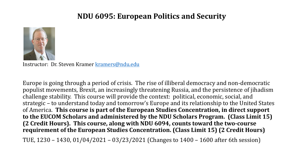#### **NDU 6095: European Politics and Security**



Instructor: Dr. Steven Kramer [kramers@ndu.edu](mailto:kramers@ndu.edu)

Europe is going through a period of crisis. The rise of illiberal democracy and non-democratic populist movements, Brexit, an increasingly threatening Russia, and the persistence of jihadism challenge stability. This course will provide the context: political, economic, social, and strategic – to understand today and tomorrow's Europe and its relationship to the United States of America. **This course is part of the European Studies Concentration, in direct support to the EUCOM Scholars and administered by the NDU Scholars Program. (Class Limit 15) (2 Credit Hours). This course, along with NDU 6094, counts toward the two-course requirement of the European Studies Concentration. (Class Limit 15) (2 Credit Hours)** 

TUE, 1230 – 1430, 01/04/2021 – 03/23/2021 (Changes to 1400 – 1600 after 6th session)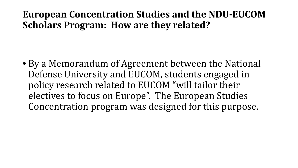### **European Concentration Studies and the NDU-EUCOM Scholars Program: How are they related?**

• By a Memorandum of Agreement between the National Defense University and EUCOM, students engaged in policy research related to EUCOM "will tailor their electives to focus on Europe". The European Studies Concentration program was designed for this purpose.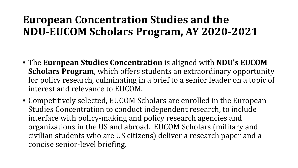### **European Concentration Studies and the NDU-EUCOM Scholars Program, AY 2020-2021**

- The **European Studies Concentration** is aligned with **NDU's EUCOM Scholars Program**, which offers students an extraordinary opportunity for policy research, culminating in a brief to a senior leader on a topic of interest and relevance to EUCOM.
- Competitively selected, EUCOM Scholars are enrolled in the European Studies Concentration to conduct independent research, to include interface with policy-making and policy research agencies and organizations in the US and abroad. EUCOM Scholars (military and civilian students who are US citizens) deliver a research paper and a concise senior-level briefing.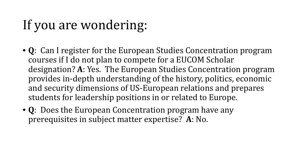## If you are wondering:

- **Q**: Can I register for the European Studies Concentration program courses if I do not plan to compete for a EUCOM Scholar designation? **A**: Yes. The European Studies Concentration program provides in-depth understanding of the history, politics, economic and security dimensions of US-European relations and prepares students for leadership positions in or related to Europe.
- **Q**: Does the European Concentration program have any prerequisites in subject matter expertise? **A**: No.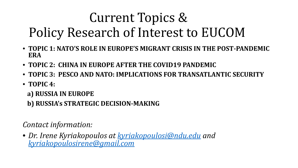## Current Topics & Policy Research of Interest to EUCOM

- **TOPIC 1: NATO'S ROLE IN EUROPE'S MIGRANT CRISIS IN THE POST-PANDEMIC ERA**
- **TOPIC 2: CHINA IN EUROPE AFTER THE COVID19 PANDEMIC**
- **TOPIC 3: PESCO AND NATO: IMPLICATIONS FOR TRANSATLANTIC SECURITY**
- **TOPIC 4:**

**a) RUSSIA IN EUROPE**

**b) RUSSIA's STRATEGIC DECISION-MAKING**

*Contact information:* 

• *Dr. Irene Kyriakopoulos at [kyriakopoulosi@ndu.edu](mailto:kyriakopoulosi@ndu.edu) and [kyriakopoulosirene@gmail.com](mailto:kyriakopoulosirene@gmail.com)*